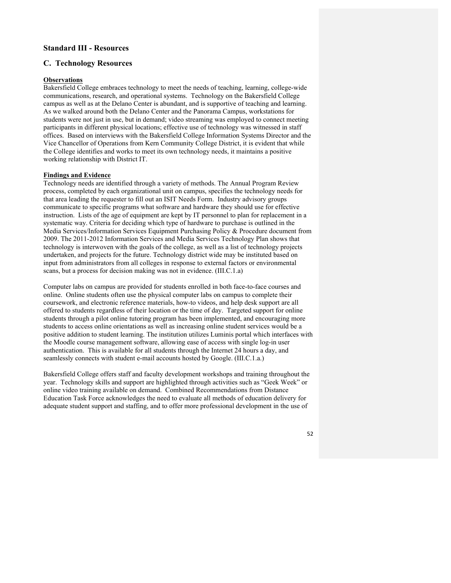# **Standard III - Resources**

## **C. Technology Resources**

## **Observations**

Bakersfield College embraces technology to meet the needs of teaching, learning, college-wide communications, research, and operational systems. Technology on the Bakersfield College campus as well as at the Delano Center is abundant, and is supportive of teaching and learning. As we walked around both the Delano Center and the Panorama Campus, workstations for students were not just in use, but in demand; video streaming was employed to connect meeting participants in different physical locations; effective use of technology was witnessed in staff offices. Based on interviews with the Bakersfield College Information Systems Director and the Vice Chancellor of Operations from Kern Community College District, it is evident that while the College identifies and works to meet its own technology needs, it maintains a positive working relationship with District IT.

#### **Findings and Evidence**

Technology needs are identified through a variety of methods. The Annual Program Review process, completed by each organizational unit on campus, specifies the technology needs for that area leading the requester to fill out an ISIT Needs Form. Industry advisory groups communicate to specific programs what software and hardware they should use for effective instruction. Lists of the age of equipment are kept by IT personnel to plan for replacement in a systematic way. Criteria for deciding which type of hardware to purchase is outlined in the Media Services/Information Services Equipment Purchasing Policy & Procedure document from 2009. The 2011-2012 Information Services and Media Services Technology Plan shows that technology is interwoven with the goals of the college, as well as a list of technology projects undertaken, and projects for the future. Technology district wide may be instituted based on input from administrators from all colleges in response to external factors or environmental scans, but a process for decision making was not in evidence. (III.C.1.a)

Computer labs on campus are provided for students enrolled in both face-to-face courses and online. Online students often use the physical computer labs on campus to complete their coursework, and electronic reference materials, how-to videos, and help desk support are all offered to students regardless of their location or the time of day. Targeted support for online students through a pilot online tutoring program has been implemented, and encouraging more students to access online orientations as well as increasing online student services would be a positive addition to student learning. The institution utilizes Luminis portal which interfaces with the Moodle course management software, allowing ease of access with single log-in user authentication. This is available for all students through the Internet 24 hours a day, and seamlessly connects with student e-mail accounts hosted by Google. (III.C.1.a.)

Bakersfield College offers staff and faculty development workshops and training throughout the year. Technology skills and support are highlighted through activities such as "Geek Week" or online video training available on demand. Combined Recommendations from Distance Education Task Force acknowledges the need to evaluate all methods of education delivery for adequate student support and staffing, and to offer more professional development in the use of

52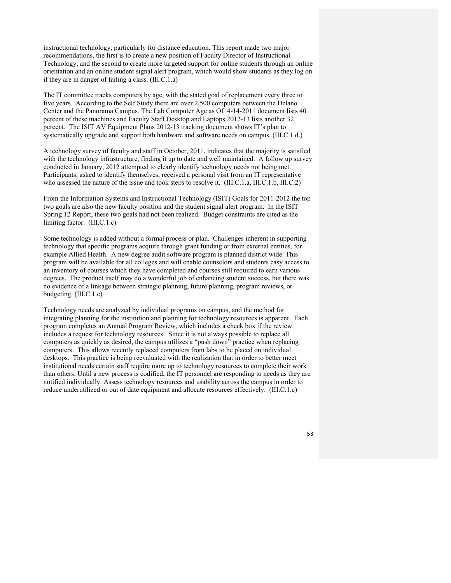instructional technology, particularly for distance education. This report made two major recommendations, the first is to create a new position of Faculty Director of Instructional Technology, and the second to create more targeted support for online students through an online orientation and an online student signal alert program, which would show students as they log on if they are in danger of failing a class. (III.C.1.a)

The IT committee tracks computers by age, with the stated goal of replacement every three to five years. According to the Self Study there are over 2,500 computers between the Delano Center and the Panorama Campus. The Lab Computer Age as Of 4-14-2011 document lists 40 percent of these machines and Faculty Staff Desktop and Laptops 2012-13 lists another 32 percent. The ISIT AV Equipment Plans 2012-13 tracking document shows IT's plan to systematically upgrade and support both hardware and software needs on campus. (III.C.1.d.)

A technology survey of faculty and staff in October, 2011, indicates that the majority is satisfied with the technology infrastructure, finding it up to date and well maintained. A follow up survey conducted in January, 2012 attempted to clearly identify technology needs not being met. Participants, asked to identify themselves, received a personal visit from an IT representative who assessed the nature of the issue and took steps to resolve it. (III.C.1.a, III.C.1.b, III.C.2)

From the Information Systems and Instructional Technology (ISIT) Goals for 2011-2012 the top two goals are also the new faculty position and the student signal alert program. In the ISIT Spring 12 Report, these two goals had not been realized. Budget constraints are cited as the limiting factor. (III.C.1.c)

Some technology is added without a formal process or plan. Challenges inherent in supporting technology that specific programs acquire through grant funding or from external entities, for example Allied Health. A new degree audit software program is planned district wide. This program will be available for all colleges and will enable counselors and students easy access to an inventory of courses which they have completed and courses still required to earn various degrees. The product itself may do a wonderful job of enhancing student success, but there was no evidence of a linkage between strategic planning, future planning, program reviews, or budgeting. (III.C.1.c)

Technology needs are analyzed by individual programs on campus, and the method for integrating planning for the institution and planning for technology resources is apparent. Each program completes an Annual Program Review, which includes a check box if the review includes a request for technology resources. Since it is not always possible to replace all computers as quickly as desired, the campus utilizes a "push down" practice when replacing computers. This allows recently replaced computers from labs to be placed on individual desktops. This practice is being reevaluated with the realization that in order to better meet institutional needs certain staff require more up to technology resources to complete their work than others. Until a new process is codified, the IT personnel are responding to needs as they are notified individually. Assess technology resources and usability across the campus in order to reduce underutilized or out of date equipment and allocate resources effectively. (III.C.1.c)

53